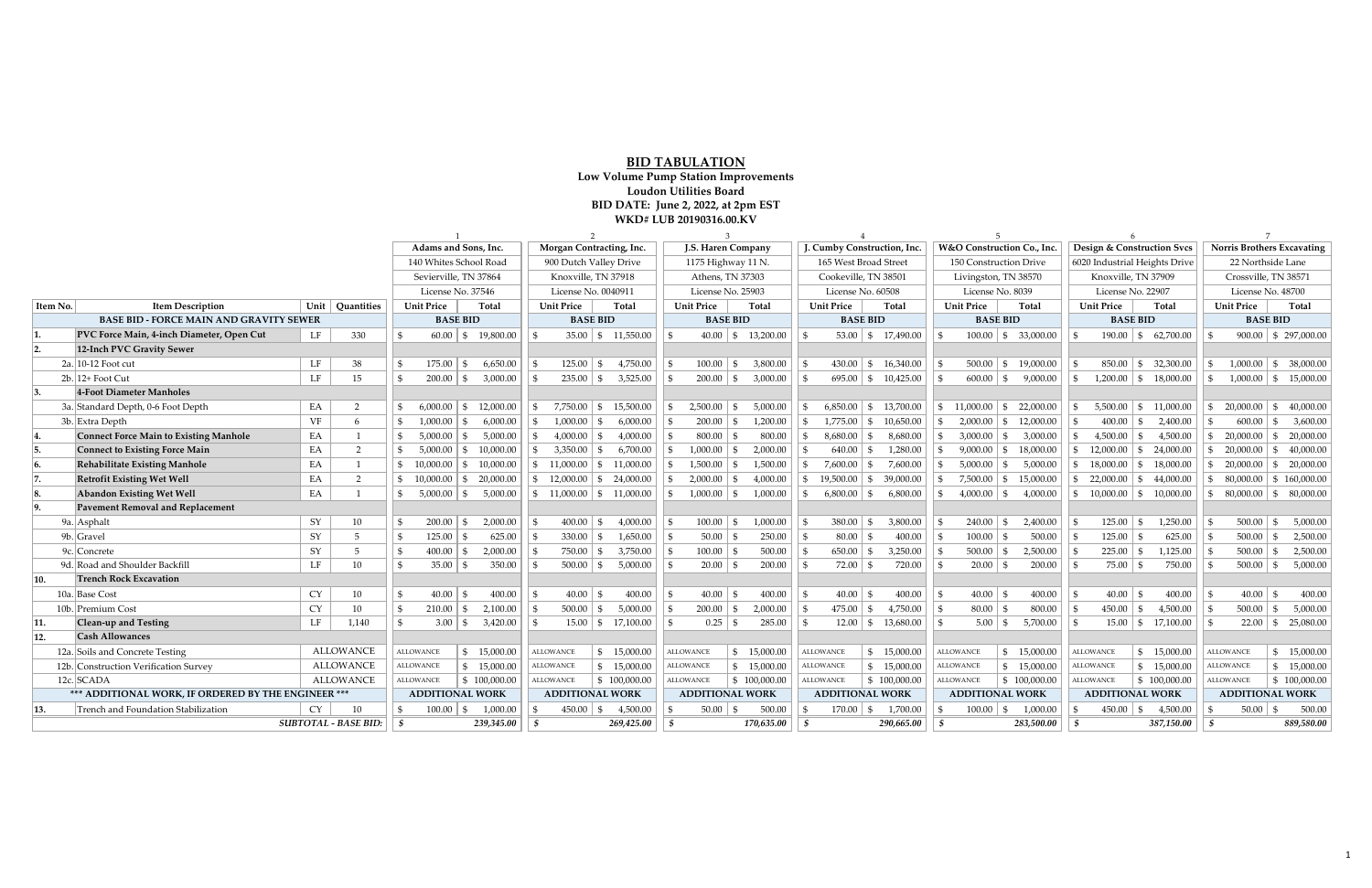|                                                               |                                               |           | Adams and Sons, Inc.   |                   |                                           |                     | Morgan Contracting, Inc. |                                         | J.S. Haren Company     |                            |                                                 |                          | J. Cumby Construction, Inc.      |                            |                         |                                              |                           | W&O Construction Co., Inc. |                              | <b>Design &amp; Construction Svcs</b> |                         |                          | <b>Norris Brothers Excavating</b> |                                          |                         |                            |  |
|---------------------------------------------------------------|-----------------------------------------------|-----------|------------------------|-------------------|-------------------------------------------|---------------------|--------------------------|-----------------------------------------|------------------------|----------------------------|-------------------------------------------------|--------------------------|----------------------------------|----------------------------|-------------------------|----------------------------------------------|---------------------------|----------------------------|------------------------------|---------------------------------------|-------------------------|--------------------------|-----------------------------------|------------------------------------------|-------------------------|----------------------------|--|
|                                                               |                                               |           | 140 Whites School Road |                   |                                           |                     | 900 Dutch Valley Drive   |                                         | 1175 Highway 11 N.     |                            |                                                 | 165 West Broad Street    |                                  |                            |                         | 150 Construction Drive                       |                           |                            |                              | 6020 Industrial Heights Drive         |                         |                          | 22 Northside Lane                 |                                          |                         |                            |  |
|                                                               |                                               |           | Sevierville, TN 37864  |                   |                                           | Knoxville, TN 37918 |                          |                                         | Athens, TN 37303       |                            |                                                 | Cookeville, TN 38501     |                                  |                            | Livingston, TN 38570    |                                              |                           |                            | Knoxville, TN 37909          |                                       |                         | Crossville, TN 38571     |                                   |                                          |                         |                            |  |
|                                                               |                                               |           |                        | License No. 37546 |                                           |                     | License No. 0040911      |                                         |                        | License No. 25903          |                                                 |                          |                                  | License No. 60508          | License No. 8039        |                                              |                           |                            | License No. 22907            |                                       |                         | License No. 48700        |                                   |                                          |                         |                            |  |
| <b>Item Description</b><br>Item No.<br>Unit  <br>  Quantities |                                               |           |                        |                   | <b>Unit Price</b><br>Total                |                     |                          | Total<br><b>Unit Price</b>              |                        |                            | <b>Unit Price</b>                               |                          | Total                            | <b>Unit Price</b><br>Total |                         | <b>Unit Price</b>                            |                           | Total                      |                              | <b>Unit Price</b>                     | Total                   |                          | <b>Unit Price</b>                 | Total                                    |                         |                            |  |
| <b>BASE BID - FORCE MAIN AND GRAVITY SEWER</b>                |                                               |           |                        |                   | <b>BASE BID</b>                           |                     |                          | <b>BASE BID</b>                         |                        |                            | <b>BASE BID</b>                                 |                          |                                  | <b>BASE BID</b>            |                         |                                              | <b>BASE BID</b>           |                            |                              |                                       | <b>BASE BID</b>         |                          |                                   | <b>BASE BID</b>                          |                         |                            |  |
|                                                               | PVC Force Main, 4-inch Diameter, Open Cut     | 330<br>LF |                        |                   | $60.00$ \$ 19,800.00                      |                     | $\mathcal{F}$            |                                         | $35.00$   \$ 11,550.00 |                            |                                                 | $40.00 \mid $ 13,200.00$ |                                  |                            |                         | $53.00 \mid $17,490.00$                      |                           |                            | $100.00$   \$ 33,000.00      |                                       |                         | $190.00 \mid $62,700.00$ |                                   |                                          | $900.00$ \$ 297,000.00  |                            |  |
| 2.                                                            | 12-Inch PVC Gravity Sewer                     |           |                        |                   |                                           |                     |                          |                                         |                        |                            |                                                 |                          |                                  |                            |                         |                                              |                           |                            |                              |                                       |                         |                          |                                   |                                          |                         |                            |  |
|                                                               | $2a$ . 10-12 Foot cut                         | $\rm LF$  | 38                     |                   | $175.00 \mid$ \$                          |                     | 6,650.00                 | \$                                      |                        | $125.00 \mid \$$ 4,750.00  | $100.00$ \ \$                                   |                          | 3,800.00                         |                            | $430.00$ \$ 16,340.00   |                                              |                           |                            |                              | $500.00$ \$ 19,000.00                 |                         |                          | $850.00$   \$ 32,300.00           | - \$                                     | 1.000.00                | $\frac{1}{2}$ \$ 38,000.00 |  |
|                                                               | $2b.$ 12+ Foot Cut                            | LF        | 15                     |                   | $200.00$ \$                               |                     | 3,000.00                 | $235.00$   \$<br>$\mathcal{F}$          |                        | 3,525.00                   | $200.00$ \ \ \$                                 |                          | 3,000.00                         |                            | $695.00$   \$ 10,425.00 |                                              |                           |                            | $600.00$ \ \$                | 9,000.00                              |                         |                          | $1,200.00$   \$ 18,000.00         | $\mathbf{F}$                             |                         | $1,000.00$ \$ 15,000.00    |  |
|                                                               | 4-Foot Diameter Manholes                      |           |                        |                   |                                           |                     |                          |                                         |                        |                            |                                                 |                          |                                  |                            |                         |                                              |                           |                            |                              |                                       |                         |                          |                                   |                                          |                         |                            |  |
|                                                               | 3a. Standard Depth, 0-6 Foot Depth            | EA        |                        |                   | 6,000.00                                  | 12,000.00<br>-SS    |                          | 7,750.00<br>\$                          |                        | $\frac{1}{2}$ 15,500.00    | 2,500.00                                        | l \$                     | 5,000.00                         |                            | $6,850.00$ \$ 13,700.00 |                                              |                           | -SS                        | $11,000.00$   \$             | 22,000.00                             |                         | 5,500.00                 | 11,000.00<br>\$                   | $\mathbf{s}$                             | 20,000.00               | \$ 40,000.00               |  |
|                                                               | 3b. Extra Depth                               | VF        |                        | $\mathcal{L}$     | 1.000.00                                  | $\mathcal{L}$       | 6.000.00                 | 1.000.00<br>$\mathfrak{F}$              | $\mathbf{S}$           | 6,000.00                   | 200.00                                          | - \$                     | 1,200.00                         |                            | $1,775.00$ \$ 10,650.00 |                                              |                           |                            |                              | $2,000.00$ \$ 12,000.00               |                         | 400.00                   | 2,400.00<br>$\mathbf{F}$          |                                          | 600.00                  | 3,600.00<br>$\mathcal{L}$  |  |
|                                                               | <b>Connect Force Main to Existing Manhole</b> | EA        |                        | $\mathfrak{L}$    | 5,000.00                                  | - \$                | 5,000.00                 | 4,000.00<br>$\mathcal{S}$               | \$                     | 4,000.00                   | 800.00                                          |                          | 800.00                           |                            | 8,680.00                | l \$                                         | 8,680.00                  |                            | $3,000.00$ \ \$              | 3,000.00                              |                         | 4,500.00                 | 4,500.00<br>$\mathbf{S}$          | $\mathbf{s}$                             | 20,000.00               | \$ 20,000.00               |  |
| 15.                                                           | Connect to Existing Force Main                | EA        | 2                      | $\mathfrak{S}$    | 5,000.00                                  | 10,000.00<br>-SS    |                          | 3,350.00<br>  SS                        | SS                     | 6,700.00                   | 1,000.00<br>$\mathfrak{F}$                      | - \$                     | 2,000.00                         |                            | $640.00$ \ \ \$         |                                              | 1,280.00                  | SS.                        |                              | $9,000.00$ \$ 18,000.00               |                         | 12,000.00                | 24,000.00<br>\$                   |                                          | $\frac{1}{2}$ 20,000.00 | \$ 40,000.00               |  |
|                                                               | <b>Rehabilitate Existing Manhole</b>          | EA        |                        |                   | $\vert$ \$ 10.000.00 $\vert$ \$ 10.000.00 |                     |                          | $\frac{1}{2}$ 11,000.00                 |                        | $\frac{1}{5}$ 11,000.00    | 1,500.00                                        | l \$                     | 1,500.00                         | l \$                       | $7,600.00$ \ \$         |                                              | 7,600.00                  | $\mathbf{s}$               | $5.000.00$ \ \$              | 5,000.00                              |                         | 18.000.00                | \$18,000.00                       |                                          | $\frac{1}{2}$ 20.000.00 | \$ 20,000.00               |  |
| 7.                                                            | <b>Retrofit Existing Wet Well</b>             | EA        | 2                      |                   | $$10,000.00 \;   \; $20,000.00$           |                     |                          | $\frac{1}{2}$ 12,000.00                 |                        | $\frac{1}{2}$ \$ 24,000.00 | 2,000.00                                        | - \$                     | 4,000.00                         | ∣\$⊧                       | $19,500.00$ \$          |                                              | 39,000.00                 | $\mathfrak{S}$             |                              | $7,500.00$ \$ 15,000.00               |                         | 22,000.00                | \$44,000.00                       |                                          | $\frac{1}{5}$ 80,000.00 | \$160,000.00               |  |
| 18.                                                           | Abandon Existing Wet Well                     | EA        |                        |                   | $5,000.00$ \ \$                           |                     | 5,000.00                 | $\vert \$ 11,000.00 \vert \$ 11,000.00$ |                        |                            |                                                 |                          | 1,000.00                         |                            | $6,800.00$ \ \ \$       |                                              | 6,800.00                  | -\$                        | $4,000.00$ \ \ \$            | 4,000.00                              |                         |                          | $10,000.00$ \$ 10,000.00          |                                          | $\frac{1}{5}$ 80,000.00 | $\frac{1}{2}$ \$ 80,000.00 |  |
| <b>Pavement Removal and Replacement</b>                       |                                               |           |                        |                   |                                           |                     |                          |                                         |                        |                            |                                                 |                          |                                  |                            |                         |                                              |                           |                            |                              |                                       |                         |                          |                                   |                                          |                         |                            |  |
|                                                               | 9a. Asphalt                                   | SY        | 10                     |                   | 200.00                                    | - \$                | 2,000.00                 | $400.00$ \$                             |                        | 4,000.00                   | $100.00$ \$                                     |                          | 1,000.00                         |                            | $380.00$ \ \$           |                                              | 3,800.00                  |                            | $240.00 \mid$ \$             | 2,400.00                              |                         | 125.00                   | 1,250.00<br>\$                    |                                          | 500.00                  | 5,000.00<br>$\mathcal{S}$  |  |
|                                                               | 9b. Gravel                                    | SY        |                        |                   | $125.00$   \$                             |                     | 625.00                   | 330.00<br>$\mathcal{F}$                 | \$                     | 1,650.00                   | $50.00$ \$                                      |                          | 250.00                           | ΙS                         | $80.00 \mid$ \$         |                                              | 400.00                    | ∣\$.                       | $100.00$   \$                | 500.00                                |                         | 125.00                   | 625.00<br>- \$                    |                                          | 500.00                  | 2,500.00<br>\$             |  |
|                                                               | 9c. Concrete                                  | SY        | -5                     |                   | 400.00                                    | - \$                | 2,000.00                 | 750.00<br>$\mathfrak{F}$                | $\vert$ \$             | 3,750.00                   | $100.00$ \ \$                                   |                          | 500.00                           |                            | $650.00$ \ \ \$         |                                              | 3,250.00                  | \$                         | $500.00$ \ \ \$              | 2,500.00                              |                         | 225.00                   | 1,125.00<br>- \$                  |                                          | 500.00                  | 2,500.00<br>$\mathfrak{F}$ |  |
|                                                               | 9d. Road and Shoulder Backfill                | LF        | 10                     |                   | $35.00 \mid$ \$                           |                     | 350.00                   | $500.00$ \ \ \$                         |                        | 5,000.00                   |                                                 |                          | 200.00                           |                            | $72.00 \mid$ \$         |                                              | 720.00                    |                            |                              | 200.00                                |                         | 75.00                    | 750.00<br>\$                      |                                          | 500.00                  | 5,000.00<br>$\mathbb{S}$   |  |
| 10.                                                           | <b>Trench Rock Excavation</b>                 |           |                        |                   |                                           |                     |                          |                                         |                        |                            |                                                 |                          |                                  |                            |                         |                                              |                           |                            |                              |                                       |                         |                          |                                   |                                          |                         |                            |  |
|                                                               | 10a. Base Cost                                | <b>CY</b> | 10                     | $\mathbf{S}$      | 40.00                                     | \$                  | 400.00                   | \$                                      |                        | 400.00                     | 40.00                                           | l \$                     | 400.00                           |                            | $40.00$ \ \ \$          |                                              | 400.00                    | ∣ \$                       | $40.00$ \ \$                 | 400.00                                |                         | $40.00 \mid$ \$          | 400.00                            | - \$                                     | 40.00                   | 400.00<br>$\mathcal{S}$    |  |
|                                                               | 10b. Premium Cost                             | CY        | 10                     |                   | 210.00                                    | - \$                | 2,100.00                 | $500.00$ \ \$                           |                        | 5,000.00                   | $200.00$ \$                                     |                          | 2,000.00                         |                            | $475.00$ \ \$           |                                              | 4,750.00                  | $\sqrt{ }$                 | $80.00 \mid$ \$              | 800.00                                |                         | $450.00$ \$              | 4,500.00                          |                                          | 500.00                  | 5,000.00<br>$\mathcal{S}$  |  |
| 11.                                                           | Clean-up and Testing                          | $\rm LF$  | 1,140                  |                   | $3.00 \, \vert \, \text{\$}$              |                     | 3,420.00                 |                                         |                        | $15.00 \mid $17,100.00$    |                                                 |                          | 285.00                           |                            |                         |                                              | $12.00 \mid \$ 13,680.00$ | -96                        | $5.00 \, \vert \, \text{\$}$ | 5,700.00                              |                         |                          | $15.00 \mid $17,100.00$           |                                          | 22.00                   | $\frac{1}{2}$ \$ 25,080.00 |  |
| <b>Cash Allowances</b><br>12.                                 |                                               |           |                        |                   |                                           |                     |                          |                                         |                        |                            |                                                 |                          |                                  |                            |                         |                                              |                           |                            |                              |                                       |                         |                          |                                   |                                          |                         |                            |  |
|                                                               | 12a. Soils and Concrete Testing               |           | <b>ALLOWANCE</b>       |                   | <b>ALLOWANCE</b>                          | \$15,000.00         |                          | <b>ALLOWANCE</b>                        |                        | \$15,000.00                | <b>ALLOWANCE</b>                                |                          | \$15,000.00                      |                            | <b>ALLOWANCE</b>        |                                              | \$15,000.00               | <b>ALLOWANCE</b>           |                              | \$15,000.00                           |                         | <b>ALLOWANCE</b>         | \$15,000.00                       |                                          | <b>ALLOWANCE</b>        | \$15,000.00                |  |
|                                                               | 12b. Construction Verification Survey         |           | <b>ALLOWANCE</b>       |                   | <b>ALLOWANCE</b>                          | \$15,000.00         |                          | <b>ALLOWANCE</b>                        |                        | \$15,000.00                | <b>ALLOWANCE</b>                                |                          | \$15,000.00                      |                            | <b>ALLOWANCE</b>        |                                              | \$15,000.00               | <b>ALLOWANCE</b>           |                              | \$15,000.00                           |                         | <b>ALLOWANCE</b>         | \$15,000.00                       |                                          | <b>ALLOWANCE</b>        | \$15,000.00                |  |
|                                                               | 12c. SCADA                                    |           | <b>ALLOWANCE</b>       |                   | <b>ALLOWANCE</b>                          | \$100,000.00        |                          | \$100,000.00<br><b>ALLOWANCE</b>        |                        |                            | $\frac{1}{2}$ \$ 100,000.00<br><b>ALLOWANCE</b> |                          | \$100,000.00<br><b>ALLOWANCE</b> |                            |                         | $\frac{1}{2}$ 100,000.00<br><b>ALLOWANCE</b> |                           |                            |                              | \$100,000.00<br><b>ALLOWANCE</b>      |                         |                          | <b>ALLOWANCE</b>                  | \$100,000.00                             |                         |                            |  |
| *** ADDITIONAL WORK, IF ORDERED BY THE ENGINEER ***           |                                               |           |                        |                   | <b>ADDITIONAL WORK</b>                    |                     |                          | <b>ADDITIONAL WORK</b>                  |                        |                            | <b>ADDITIONAL WORK</b>                          |                          |                                  | <b>ADDITIONAL WORK</b>     |                         |                                              | <b>ADDITIONAL WORK</b>    |                            |                              |                                       | <b>ADDITIONAL WORK</b>  |                          |                                   | <b>ADDITIONAL WORK</b>                   |                         |                            |  |
| 13.<br>Trench and Foundation Stabilization<br><b>CY</b><br>10 |                                               |           |                        |                   | 100.00                                    | S                   | 1,000.00                 | 450.00<br>$\mathfrak{F}$                | l \$                   | 4,500.00                   | 500.00<br>$50.00$ \ \ \$                        |                          |                                  | 1,700.00<br>$170.00$ \$    |                         |                                              | $100.00$ \$<br>1,000.00   |                            |                              |                                       | 4,500.00<br>$450.00$ \$ |                          |                                   | $50.00$ \ \ \$<br>500.00<br>$\mathbf{F}$ |                         |                            |  |
| <b>SUBTOTAL - BASE BID:</b>                                   |                                               |           |                        |                   | 239,345.00<br>- \$                        |                     |                          | 8                                       | 269,425.00             | 170,635.00<br>- \$         |                                                 |                          | 290,665.00<br>$\mathbf{S}$       |                            |                         |                                              | 283,500.00<br>\$          |                            |                              |                                       | l \$                    | 387,150.00               | 889,580.00<br>- \$                |                                          |                         |                            |  |

## **BID TABULATION**

**Low Volume Pump Station Improvements Loudon Utilities Board BID DATE: June 2, 2022, at 2pm EST WKD# LUB 20190316.00.KV**